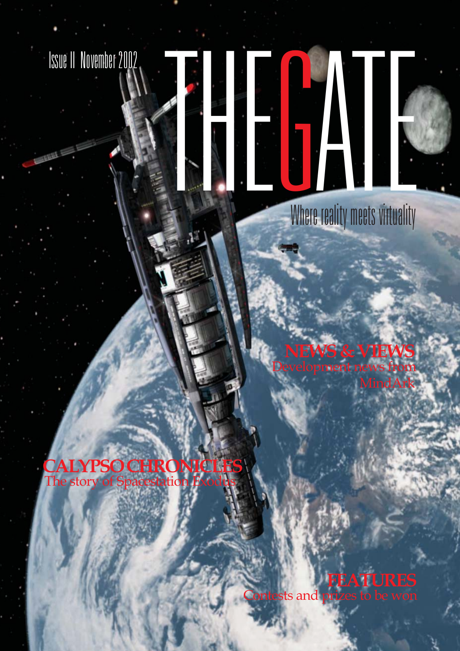



Where reality meets virtuality

**VIEWS** nent news from MindArk

**CALYPSO CHRONICLE** The story of Spacestation

> **FEATURES** prizes to be won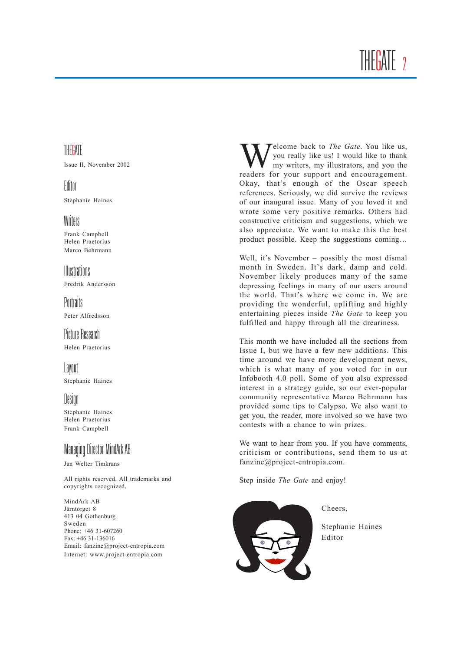## THE<mark>G</mark>ATE<sub>2</sub>

### THEGATE

Issue II, November 2002

### Editor

Stephanie Haines

### Writers

Frank Campbell Helen Praetorius Marco Behrmann

Illustrations Fredrik Andersson

**Portraits** Peter Alfredsson

### Picture Research

Helen Praetorius

### Layout

Stephanie Haines

### Design

Stephanie Haines Helen Praetorius Frank Campbell

### Managing Director MindArk AB

Jan Welter Timkrans

All rights reserved. All trademarks and copyrights recognized.

MindArk AB Järntorget 8 413 04 Gothenburg Sweden Phone: +46 31-607260 Fax: +46 31-136016 Email: fanzine@project-entropia.com Internet: www.project-entropia.com

Welcome back to *The Gate*. You like us, you really like us! I would like to thank my writers, my illustrators, and you the readers for your support and encouragement. Okay, that's enough of the Oscar speech references. Seriously, we did survive the reviews of our inaugural issue. Many of you loved it and wrote some very positive remarks. Others had constructive criticism and suggestions, which we also appreciate. We want to make this the best product possible. Keep the suggestions coming...

Well, it's November  $-$  possibly the most dismal month in Sweden. It's dark, damp and cold. November likely produces many of the same depressing feelings in many of our users around the world. That's where we come in. We are providing the wonderful, uplifting and highly entertaining pieces inside *The Gate* to keep you fulfilled and happy through all the dreariness.

This month we have included all the sections from Issue I, but we have a few new additions. This time around we have more development news, which is what many of you voted for in our Infobooth 4.0 poll. Some of you also expressed interest in a strategy guide, so our ever-popular community representative Marco Behrmann has provided some tips to Calypso. We also want to get you, the reader, more involved so we have two contests with a chance to win prizes.

We want to hear from you. If you have comments, criticism or contributions, send them to us at fanzine@project-entropia.com.

Step inside *The Gate* and enjoy!



Cheers,

Stephanie Haines Editor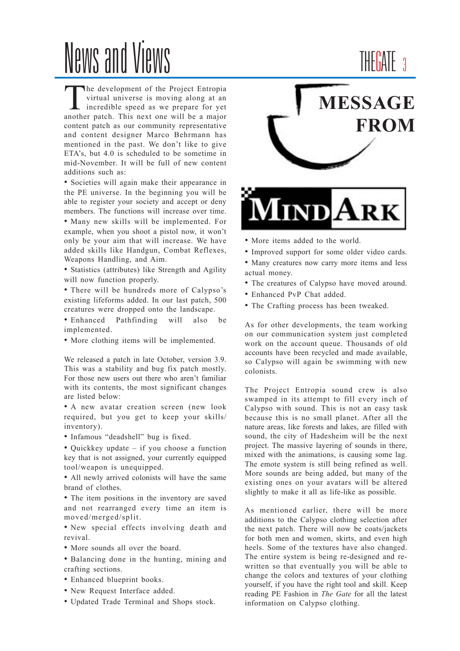# News and Views

The development of the Project Entropia<br>
virtual universe is moving along at an<br>
incredible speed as we prepare for yet<br>
another note<br>
This next one will be a major virtual universe is moving along at an another patch. This next one will be a major content patch as our community representative and content designer Marco Behrmann has mentioned in the past. We don't like to give ETA's, but 4.0 is scheduled to be sometime in mid-November. It will be full of new content additions such as:

• Societies will again make their appearance in the PE universe. In the beginning you will be able to register your society and accept or deny members. The functions will increase over time.

• Many new skills will be implemented. For example, when you shoot a pistol now, it won't only be your aim that will increase. We have added skills like Handgun, Combat Reflexes, Weapons Handling, and Aim.

• Statistics (attributes) like Strength and Agility will now function properly.

• There will be hundreds more of Calypso's existing lifeforms added. In our last patch, 500 creatures were dropped onto the landscape.

• Enhanced Pathfinding will also be implemented.

• More clothing items will be implemented.

We released a patch in late October, version 3.9. This was a stability and bug fix patch mostly. For those new users out there who aren't familiar with its contents, the most significant changes are listed below:

• A new avatar creation screen (new look required, but you get to keep your skills/ inventory).

- Infamous "deadshell" bug is fixed.
- $\bullet$  Quickkey update if you choose a function key that is not assigned, your currently equipped tool/weapon is unequipped.

• All newly arrived colonists will have the same brand of clothes.

• The item positions in the inventory are saved and not rearranged every time an item is moved/merged/split.

• New special effects involving death and revival.

• More sounds all over the board.

• Balancing done in the hunting, mining and crafting sections.

- Enhanced blueprint books.
- New Request Interface added.
- Updated Trade Terminal and Shops stock.

## **MESSAGE FROM**

THE<mark>G</mark>ATE 3



- More items added to the world.
- Improved support for some older video cards.

• Many creatures now carry more items and less actual money.

- The creatures of Calypso have moved around.
- Enhanced PvP Chat added.
- The Crafting process has been tweaked.

As for other developments, the team working on our communication system just completed work on the account queue. Thousands of old accounts have been recycled and made available, so Calypso will again be swimming with new colonists.

The Project Entropia sound crew is also swamped in its attempt to fill every inch of Calypso with sound. This is not an easy task because this is no small planet. After all the nature areas, like forests and lakes, are filled with sound, the city of Hadesheim will be the next project. The massive layering of sounds in there, mixed with the animations, is causing some lag. The emote system is still being refined as well. More sounds are being added, but many of the existing ones on your avatars will be altered slightly to make it all as life-like as possible.

As mentioned earlier, there will be more additions to the Calypso clothing selection after the next patch. There will now be coats/jackets for both men and women, skirts, and even high heels. Some of the textures have also changed. The entire system is being re-designed and rewritten so that eventually you will be able to change the colors and textures of your clothing yourself, if you have the right tool and skill. Keep reading PE Fashion in *The Gate* for all the latest information on Calypso clothing.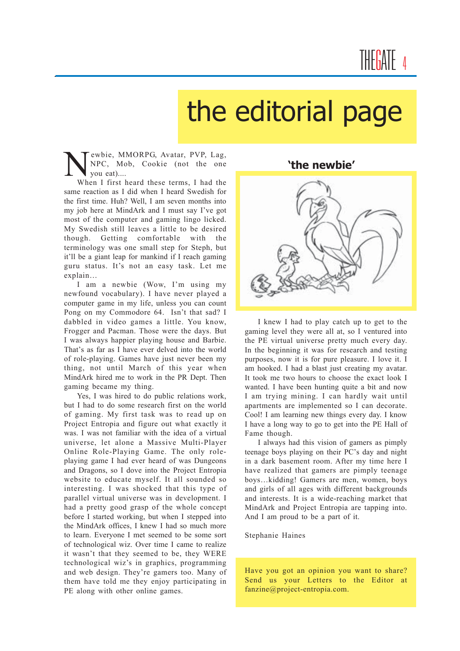# the editorial page

Wewbie, MMORPG, Avatar, PVP, Lag,<br>NPC, Mob, Cookie (not the one<br>When I first heard these terms. I had the NPC, Mob, Cookie (not the one you eat)....

When I first heard these terms, I had the same reaction as I did when I heard Swedish for the first time. Huh? Well, I am seven months into my job here at MindArk and I must say I've got most of the computer and gaming lingo licked. My Swedish still leaves a little to be desired though. Getting comfortable with the terminology was one small step for Steph, but it'll be a giant leap for mankind if I reach gaming guru status. Itís not an easy task. Let me explain...

I am a newbie (Wow, I'm using my newfound vocabulary). I have never played a computer game in my life, unless you can count Pong on my Commodore 64. Isn't that sad? I dabbled in video games a little. You know, Frogger and Pacman. Those were the days. But I was always happier playing house and Barbie. That's as far as I have ever delved into the world of role-playing. Games have just never been my thing, not until March of this year when MindArk hired me to work in the PR Dept. Then gaming became my thing.

Yes, I was hired to do public relations work, but I had to do some research first on the world of gaming. My first task was to read up on Project Entropia and figure out what exactly it was. I was not familiar with the idea of a virtual universe, let alone a Massive Multi-Player Online Role-Playing Game. The only roleplaying game I had ever heard of was Dungeons and Dragons, so I dove into the Project Entropia website to educate myself. It all sounded so interesting. I was shocked that this type of parallel virtual universe was in development. I had a pretty good grasp of the whole concept before I started working, but when I stepped into the MindArk offices, I knew I had so much more to learn. Everyone I met seemed to be some sort of technological wiz. Over time I came to realize it wasn't that they seemed to be, they WERE technological wiz's in graphics, programming and web design. They're gamers too. Many of them have told me they enjoy participating in PE along with other online games.

**ëthe newbieí**



I knew I had to play catch up to get to the gaming level they were all at, so I ventured into the PE virtual universe pretty much every day. In the beginning it was for research and testing purposes, now it is for pure pleasure. I love it. I am hooked. I had a blast just creating my avatar. It took me two hours to choose the exact look I wanted. I have been hunting quite a bit and now I am trying mining. I can hardly wait until apartments are implemented so I can decorate. Cool! I am learning new things every day. I know I have a long way to go to get into the PE Hall of Fame though.

I always had this vision of gamers as pimply teenage boys playing on their PC's day and night in a dark basement room. After my time here I have realized that gamers are pimply teenage boys...kidding! Gamers are men, women, boys and girls of all ages with different backgrounds and interests. It is a wide-reaching market that MindArk and Project Entropia are tapping into. And I am proud to be a part of it.

Stephanie Haines

Have you got an opinion you want to share? Send us your Letters to the Editor at fanzine@project-entropia.com.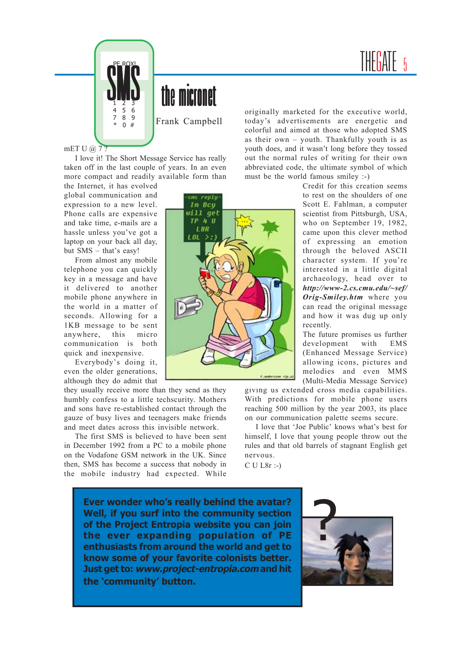



Frank Campbell

mET U @ 7?

I love it! The Short Message Service has really taken off in the last couple of years. In an even more compact and readily available form than

the Internet, it has evolved global communication and expression to a new level. Phone calls are expensive and take time, e-mails are a hassle unless you've got a laptop on your back all day, but  $SMS - that's easy!$ 

From almost any mobile telephone you can quickly key in a message and have it delivered to another mobile phone anywhere in the world in a matter of seconds. Allowing for a 1KB message to be sent anywhere, this micro communication is both quick and inexpensive.

Everybody's doing it. even the older generations, although they do admit that

they usually receive more than they send as they humbly confess to a little techscurity. Mothers and sons have re-established contact through the gauze of busy lives and teenagers make friends and meet dates across this invisible network.

The first SMS is believed to have been sent in December 1992 from a PC to a mobile phone on the Vodafone GSM network in the UK. Since then, SMS has become a success that nobody in the mobile industry had expected. While

originally marketed for the executive world, today's advertisements are energetic and colorful and aimed at those who adopted SMS as their own  $-$  youth. Thankfully youth is as youth does, and it wasn't long before they tossed out the normal rules of writing for their own abbreviated code, the ultimate symbol of which must be the world famous smiley :-)

Credit for this creation seems to rest on the shoulders of one Scott E. Fahlman, a computer scientist from Pittsburgh, USA, who on September 19, 1982, came upon this clever method of expressing an emotion through the beloved ASCII character system. If you're interested in a little digital archaeology, head over to *http://www-2.cs.cmu.edu/~sef/ Orig-Smiley.htm* where you can read the original message and how it was dug up only recently.

The future promises us further development with EMS (Enhanced Message Service) allowing icons, pictures and melodies and even MMS (Multi-Media Message Service)

giving us extended cross media capabilities. With predictions for mobile phone users reaching 500 million by the year 2003, its place on our communication palette seems secure.

I love that 'Joe Public' knows what's best for himself, I love that young people throw out the rules and that old barrels of stagnant English get nervous.

C U L8r :-)

**Ever wonder whoís really behind the avatar? Well, if you surf into the community section of the Project Entropia website you can join the ever expanding population of PE enthusiasts from around the world and get to know some of your favorite colonists better. Just get to: www.project-entropia.com and hit** the **'community'** button.



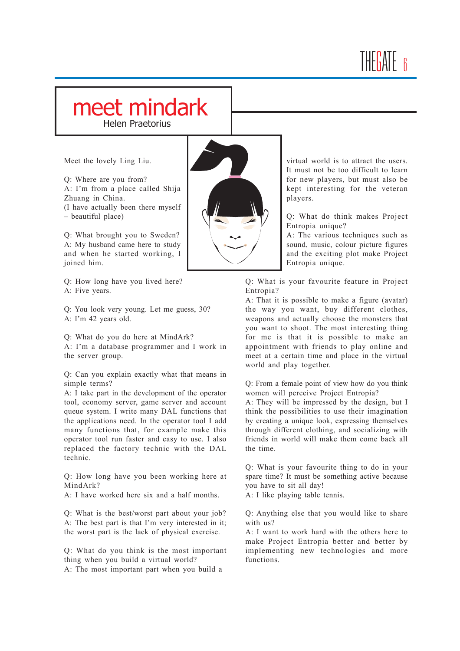### IHFIAIF 6

### meet mindark

Helen Praetorius

Meet the lovely Ling Liu.

Q: Where are you from? A: I'm from a place called Shija Zhuang in China. (I have actually been there myself  $-$  beautiful place)

Q: What brought you to Sweden? A: My husband came here to study and when he started working, I joined him.

Q: How long have you lived here? A: Five years.

Q: You look very young. Let me guess, 30? A: I'm 42 years old.

Q: What do you do here at MindArk?

A: I'm a database programmer and I work in the server group.

Q: Can you explain exactly what that means in simple terms?

A: I take part in the development of the operator tool, economy server, game server and account queue system. I write many DAL functions that the applications need. In the operator tool I add many functions that, for example make this operator tool run faster and easy to use. I also replaced the factory technic with the DAL technic.

Q: How long have you been working here at MindArk?

A: I have worked here six and a half months.

Q: What is the best/worst part about your job? A: The best part is that I'm very interested in it; the worst part is the lack of physical exercise.

Q: What do you think is the most important thing when you build a virtual world? A: The most important part when you build a

virtual world is to attract the users. It must not be too difficult to learn for new players, but must also be kept interesting for the veteran players. Q: What do think makes Project

Entropia unique? A: The various techniques such as

sound, music, colour picture figures and the exciting plot make Project Entropia unique.

Q: What is your favourite feature in Project Entropia?

A: That it is possible to make a figure (avatar) the way you want, buy different clothes, weapons and actually choose the monsters that you want to shoot. The most interesting thing for me is that it is possible to make an appointment with friends to play online and meet at a certain time and place in the virtual world and play together.

Q: From a female point of view how do you think women will perceive Project Entropia?

A: They will be impressed by the design, but I think the possibilities to use their imagination by creating a unique look, expressing themselves through different clothing, and socializing with friends in world will make them come back all the time.

Q: What is your favourite thing to do in your spare time? It must be something active because you have to sit all day!

A: I like playing table tennis.

Q: Anything else that you would like to share with us?

A: I want to work hard with the others here to make Project Entropia better and better by implementing new technologies and more functions.

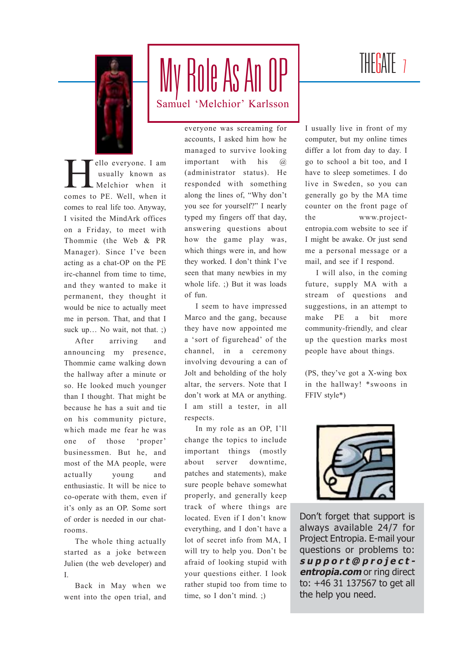

## My Role As An OP Samuel 'Melchior' Karlsson

ello everyone. I am<br>
usually known as<br>
Melchior when it usually known as Melchior when it comes to PE. Well, when it comes to real life too. Anyway, I visited the MindArk offices on a Friday, to meet with Thommie (the Web & PR Manager). Since I've been acting as a chat-OP on the PE irc-channel from time to time, and they wanted to make it permanent, they thought it would be nice to actually meet me in person. That, and that I suck up... No wait, not that.  $\phi$ 

After arriving and announcing my presence, Thommie came walking down the hallway after a minute or so. He looked much younger than I thought. That might be because he has a suit and tie on his community picture, which made me fear he was one of those 'proper' businessmen. But he, and most of the MA people, were actually young and enthusiastic. It will be nice to co-operate with them, even if it's only as an OP. Some sort of order is needed in our chatrooms.

The whole thing actually started as a joke between Julien (the web developer) and I.

Back in May when we went into the open trial, and everyone was screaming for accounts, I asked him how he managed to survive looking important with his @ (administrator status). He responded with something along the lines of, "Why don't you see for yourself?" I nearly typed my fingers off that day, answering questions about how the game play was, which things were in, and how they worked. I don't think I've seen that many newbies in my whole life. ;) But it was loads of fun.

I seem to have impressed Marco and the gang, because they have now appointed me a 'sort of figurehead' of the channel, in a ceremony involving devouring a can of Jolt and beholding of the holy altar, the servers. Note that I don't work at MA or anything. I am still a tester, in all respects.

In my role as an OP, I'll change the topics to include important things (mostly about server downtime, patches and statements), make sure people behave somewhat properly, and generally keep track of where things are located. Even if I don't know everything, and I don't have a lot of secret info from MA, I will try to help you. Don't be afraid of looking stupid with your questions either. I look rather stupid too from time to time, so I don't mind. ;)

### THE<mark>G</mark>ATE 7

I usually live in front of my computer, but my online times differ a lot from day to day. I go to school a bit too, and I have to sleep sometimes. I do live in Sweden, so you can generally go by the MA time counter on the front page of the www.projectentropia.com website to see if I might be awake. Or just send me a personal message or a mail, and see if I respond.

I will also, in the coming future, supply MA with a stream of questions and suggestions, in an attempt to make PE a bit more community-friendly, and clear up the question marks most people have about things.

 $(PS, they've got a X-wing box)$ in the hallway! \*swoons in FFIV style\*)



Donít forget that support is always available 24/7 for Project Entropia. E-mail your questions or problems to: **support@projectentropia.com** or ring direct to: +46 31 137567 to get all the help you need.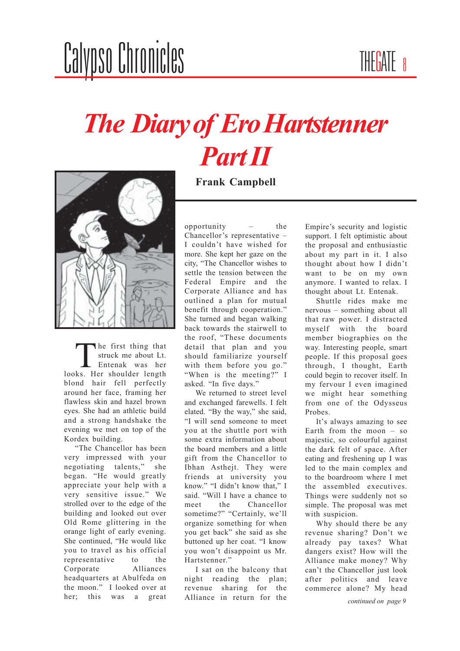# *The Diary of Ero Hartstenner Part II*



The first thing that struck me about Lt. Entenak was her looks. Her shoulder length blond hair fell perfectly around her face, framing her flawless skin and hazel brown eyes. She had an athletic build and a strong handshake the evening we met on top of the Kordex building.

"The Chancellor has been very impressed with your negotiating talents," she began. "He would greatly appreciate your help with a very sensitive issue." We strolled over to the edge of the building and looked out over Old Rome glittering in the orange light of early evening. She continued, "He would like you to travel as his official representative to the Corporate Alliances headquarters at Abulfeda on the moon." I looked over at her; this was a great

**Frank Campbell**

opportunity  $-$  the Chancellor's representative  $-$ I couldn't have wished for more. She kept her gaze on the city, "The Chancellor wishes to settle the tension between the Federal Empire and the Corporate Alliance and has outlined a plan for mutual benefit through cooperation." She turned and began walking back towards the stairwell to the roof, "These documents detail that plan and you should familiarize yourself with them before you go." "When is the meeting?" I asked. "In five days."

We returned to street level and exchanged farewells. I felt elated. "By the way," she said, "I will send someone to meet you at the shuttle port with some extra information about the board members and a little gift from the Chancellor to Ibhan Asthejt. They were friends at university you know." "I didn't know that," I said. "Will I have a chance to meet the Chancellor sometime?" "Certainly, we'll organize something for when you get back" she said as she buttoned up her coat. "I know you won't disappoint us Mr. Hartstenner."

I sat on the balcony that night reading the plan; revenue sharing for the Alliance in return for the

Empire's security and logistic support. I felt optimistic about the proposal and enthusiastic about my part in it. I also thought about how I didn't want to be on my own anymore. I wanted to relax. I thought about Lt. Entenak.

Shuttle rides make me nervous – something about all that raw power. I distracted myself with the board member biographies on the way. Interesting people, smart people. If this proposal goes through, I thought, Earth could begin to recover itself. In my fervour I even imagined we might hear something from one of the Odysseus Probes.

It's always amazing to see Earth from the moon  $-$  so majestic, so colourful against the dark felt of space. After eating and freshening up I was led to the main complex and to the boardroom where I met the assembled executives. Things were suddenly not so simple. The proposal was met with suspicion.

Why should there be any revenue sharing? Don't we already pay taxes? What dangers exist? How will the Alliance make money? Why can't the Chancellor just look after politics and leave commerce alone? My head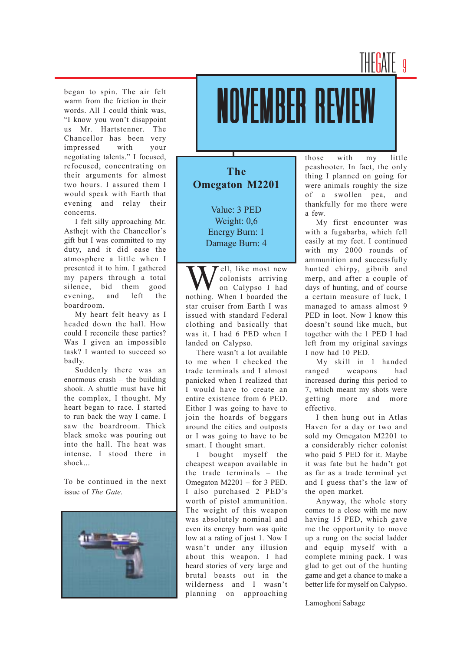### THE<mark>G</mark>ATE 9

began to spin. The air felt warm from the friction in their words. All I could think was, "I know you won't disappoint us Mr. Hartstenner. The Chancellor has been very impressed with your negotiating talents." I focused, refocused, concentrating on their arguments for almost two hours. I assured them I would speak with Earth that evening and relay their concerns.

I felt silly approaching Mr. Asthejt with the Chancellor's gift but I was committed to my duty, and it did ease the atmosphere a little when I presented it to him. I gathered my papers through a total silence, bid them good evening, and left the boardroom.

My heart felt heavy as I headed down the hall. How could I reconcile these parties? Was I given an impossible task? I wanted to succeed so badly.

Suddenly there was an enormous crash  $-$  the building shook. A shuttle must have hit the complex, I thought. My heart began to race. I started to run back the way I came. I saw the boardroom. Thick black smoke was pouring out into the hall. The heat was intense. I stood there in shock...

To be continued in the next issue of *The Gate*.



# NOVEMBER REV

#### **The Omegaton M2201**

Value: 3 PED Weight: 0,6 Energy Burn: 1 Damage Burn: 4

ell, like most new colonists arriving on Calypso I had nothing. When I boarded the star cruiser from Earth I was issued with standard Federal clothing and basically that was it. I had 6 PED when I landed on Calypso.

There wasn't a lot available to me when I checked the trade terminals and I almost panicked when I realized that I would have to create an entire existence from 6 PED. Either I was going to have to join the hoards of beggars around the cities and outposts or I was going to have to be smart. I thought smart.

I bought myself the cheapest weapon available in the trade terminals  $-$  the Omegaton  $M2201$  – for 3 PED. I also purchased 2 PED's worth of pistol ammunition. The weight of this weapon was absolutely nominal and even its energy burn was quite low at a rating of just 1. Now I wasn't under any illusion about this weapon. I had heard stories of very large and brutal beasts out in the wilderness and I wasn't planning on approaching

those with my little peashooter. In fact, the only thing I planned on going for were animals roughly the size of a swollen pea, and thankfully for me there were a few.

My first encounter was with a fugabarba, which fell easily at my feet. I continued with my 2000 rounds of ammunition and successfully hunted chirpy, gibnib and merp, and after a couple of days of hunting, and of course a certain measure of luck, I managed to amass almost 9 PED in loot. Now I know this doesn't sound like much, but together with the 1 PED I had left from my original savings I now had 10 PED.

My skill in 1 handed ranged weapons had increased during this period to 7, which meant my shots were getting more and more effective.

I then hung out in Atlas Haven for a day or two and sold my Omegaton M2201 to a considerably richer colonist who paid 5 PED for it. Maybe it was fate but he hadn't got as far as a trade terminal yet and I guess that's the law of the open market.

Anyway, the whole story comes to a close with me now having 15 PED, which gave me the opportunity to move up a rung on the social ladder and equip myself with a complete mining pack. I was glad to get out of the hunting game and get a chance to make a better life for myself on Calypso.

Lamoghoni Sabage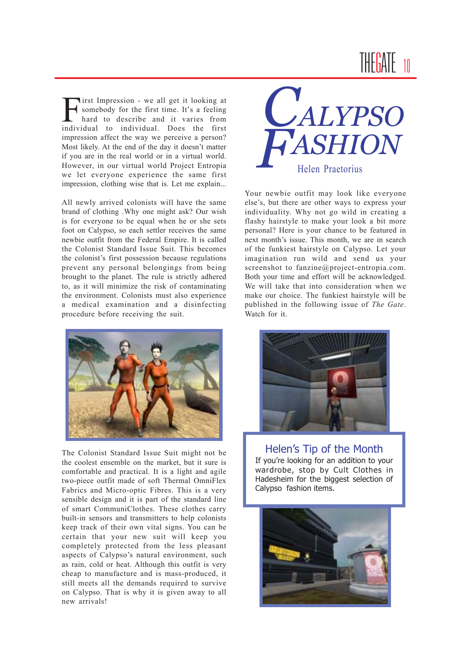## THE<mark>G</mark>ATE

First Impression - we all get it looking at<br>somebody for the first time. It's a feeling<br>hard to describe and it varies from somebody for the first time. It's a feeling hard to describe and it varies from individual to individual. Does the first impression affect the way we perceive a person? Most likely. At the end of the day it doesn't matter if you are in the real world or in a virtual world. However, in our virtual world Project Entropia we let everyone experience the same first impression, clothing wise that is. Let me explain...

All newly arrived colonists will have the same brand of clothing .Why one might ask? Our wish is for everyone to be equal when he or she sets foot on Calypso, so each settler receives the same newbie outfit from the Federal Empire. It is called the Colonist Standard Issue Suit. This becomes the colonist's first possession because regulations prevent any personal belongings from being brought to the planet. The rule is strictly adhered to, as it will minimize the risk of contaminating the environment. Colonists must also experience a medical examination and a disinfecting procedure before receiving the suit.



The Colonist Standard Issue Suit might not be the coolest ensemble on the market, but it sure is comfortable and practical. It is a light and agile two-piece outfit made of soft Thermal OmniFlex Fabrics and Micro-optic Fibres. This is a very sensible design and it is part of the standard line of smart CommuniClothes. These clothes carry built-in sensors and transmitters to help colonists keep track of their own vital signs. You can be certain that your new suit will keep you completely protected from the less pleasant aspects of Calypso's natural environment, such as rain, cold or heat. Although this outfit is very cheap to manufacture and is mass-produced, it still meets all the demands required to survive on Calypso. That is why it is given away to all new arrivals!



Your newbie outfit may look like everyone else's, but there are other ways to express your individuality. Why not go wild in creating a flashy hairstyle to make your look a bit more personal? Here is your chance to be featured in next month's issue. This month, we are in search of the funkiest hairstyle on Calypso. Let your imagination run wild and send us your screenshot to fanzine@project-entropia.com. Both your time and effort will be acknowledged. We will take that into consideration when we make our choice. The funkiest hairstyle will be published in the following issue of *The Gate*. Watch for it.



Helen's Tip of the Month If you're looking for an addition to your wardrobe, stop by Cult Clothes in Hadesheim for the biggest selection of Calypso fashion items.

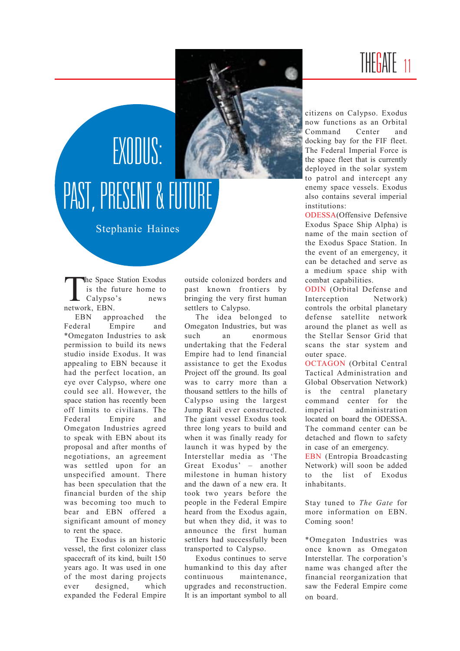### THE<mark>G</mark>ATE



# EXODUS: PAST, PRESENT & FUTURE

Stephanie Haines

The Space Station Exodus<br>
is the future home to<br>
Calypso's news is the future home to Calypso's news network, EBN.

EBN approached the Federal Empire and \*Omegaton Industries to ask permission to build its news studio inside Exodus. It was appealing to EBN because it had the perfect location, an eye over Calypso, where one could see all. However, the snace station has recently been off limits to civilians. The Federal Empire and Omegaton Industries agreed to speak with EBN about its proposal and after months of negotiations, an agreement was settled upon for an unspecified amount. There has been speculation that the financial burden of the ship was becoming too much to bear and EBN offered a significant amount of money to rent the space.

The Exodus is an historic vessel, the first colonizer class spacecraft of its kind, built 150 years ago. It was used in one of the most daring projects ever designed, which expanded the Federal Empire

outside colonized borders and past known frontiers by bringing the very first human settlers to Calypso.

The idea belonged to Omegaton Industries, but was such an enormous undertaking that the Federal Empire had to lend financial assistance to get the Exodus Project off the ground. Its goal was to carry more than a thousand settlers to the hills of Calypso using the largest Jump Rail ever constructed. The giant vessel Exodus took three long years to build and when it was finally ready for launch it was hyped by the Interstellar media as 'The Great Exodus'  $-$  another milestone in human history and the dawn of a new era. It took two years before the people in the Federal Empire heard from the Exodus again, but when they did, it was to announce the first human settlers had successfully been transported to Calypso.

Exodus continues to serve humankind to this day after continuous maintenance, upgrades and reconstruction. It is an important symbol to all

citizens on Calypso. Exodus now functions as an Orbital Command Center and docking bay for the FIF fleet. The Federal Imperial Force is the space fleet that is currently deployed in the solar system to patrol and intercept any enemy space vessels. Exodus also contains several imperial institutions:

ODESSA(Offensive Defensive Exodus Space Ship Alpha) is name of the main section of the Exodus Space Station. In the event of an emergency, it can be detached and serve as a medium space ship with combat capabilities.

ODIN (Orbital Defense and Interception Network) controls the orbital planetary defense satellite network around the planet as well as the Stellar Sensor Grid that scans the star system and outer space.

OCTAGON (Orbital Central Tactical Administration and Global Observation Network) is the central planetary command center for the imperial administration located on board the ODESSA. The command center can be detached and flown to safety in case of an emergency.

EBN (Entropia Broadcasting Network) will soon be added to the list of Exodus inhabitants.

Stay tuned to *The Gate* for more information on EBN. Coming soon!

\*Omegaton Industries was once known as Omegaton Interstellar. The corporation's name was changed after the financial reorganization that saw the Federal Empire come on board.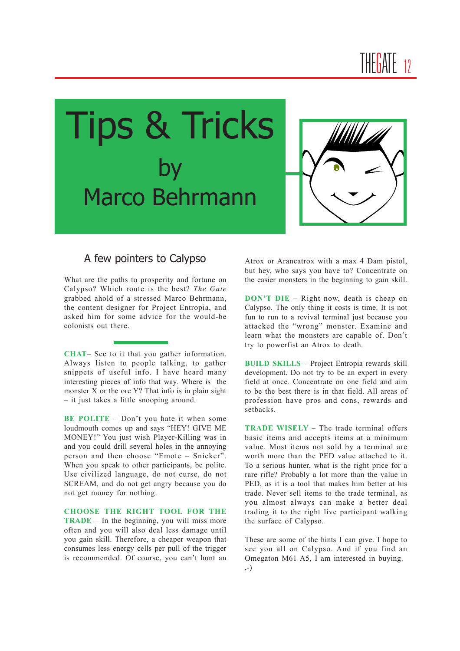



#### A few pointers to Calypso

What are the paths to prosperity and fortune on Calypso? Which route is the best? *The Gate* grabbed ahold of a stressed Marco Behrmann, the content designer for Project Entropia, and asked him for some advice for the would-be colonists out there.

**CHAT**– See to it that you gather information. Always listen to people talking, to gather snippets of useful info. I have heard many interesting pieces of info that way. Where is the monster X or the ore Y? That info is in plain sight - it just takes a little snooping around.

**BE POLITE** – Don't you hate it when some loudmouth comes up and says "HEY! GIVE ME MONEY!" You just wish Player-Killing was in and you could drill several holes in the annoying person and then choose "Emote - Snicker". When you speak to other participants, be polite. Use civilized language, do not curse, do not SCREAM, and do not get angry because you do not get money for nothing.

**CHOOSE THE RIGHT TOOL FOR THE TRADE**  $-$  In the beginning, you will miss more often and you will also deal less damage until you gain skill. Therefore, a cheaper weapon that consumes less energy cells per pull of the trigger is recommended. Of course, you can't hunt an

Atrox or Araneatrox with a max 4 Dam pistol, but hey, who says you have to? Concentrate on the easier monsters in the beginning to gain skill.

**DON'T DIE** – Right now, death is cheap on Calypso. The only thing it costs is time. It is not fun to run to a revival terminal just because you attacked the "wrong" monster. Examine and learn what the monsters are capable of. Don't try to powerfist an Atrox to death.

**BUILD SKILLS - Project Entropia rewards skill** development. Do not try to be an expert in every field at once. Concentrate on one field and aim to be the best there is in that field. All areas of profession have pros and cons, rewards and setbacks.

**TRADE WISELY** – The trade terminal offers basic items and accepts items at a minimum value. Most items not sold by a terminal are worth more than the PED value attached to it. To a serious hunter, what is the right price for a rare rifle? Probably a lot more than the value in PED, as it is a tool that makes him better at his trade. Never sell items to the trade terminal, as you almost always can make a better deal trading it to the right live participant walking the surface of Calypso.

These are some of the hints I can give. I hope to see you all on Calypso. And if you find an Omegaton M61 A5, I am interested in buying. ,-)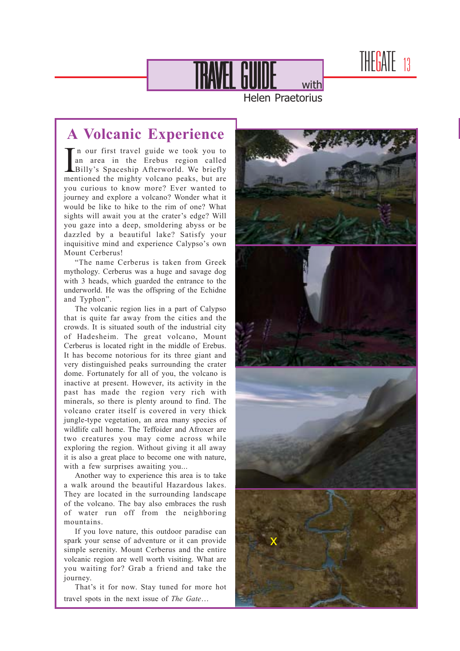THEGATE 13

TRAVEL GUIDE With

Helen Praetorius

### **A Volcanic Experience**

In our first travel guide we took you to<br>an area in the Erebus region called<br>Billy's Spaceship Afterworld. We briefly In our first travel guide we took you to an area in the Erebus region called mentioned the mighty volcano peaks, but are you curious to know more? Ever wanted to journey and explore a volcano? Wonder what it would be like to hike to the rim of one? What sights will await you at the crater's edge? Will you gaze into a deep, smoldering abyss or be dazzled by a beautiful lake? Satisfy your inquisitive mind and experience Calypso's own Mount Cerberus!

ìThe name Cerberus is taken from Greek mythology. Cerberus was a huge and savage dog with 3 heads, which guarded the entrance to the underworld. He was the offspring of the Echidne and Typhon".

The volcanic region lies in a part of Calypso that is quite far away from the cities and the crowds. It is situated south of the industrial city of Hadesheim. The great volcano, Mount Cerberus is located right in the middle of Erebus. It has become notorious for its three giant and very distinguished peaks surrounding the crater dome. Fortunately for all of you, the volcano is inactive at present. However, its activity in the past has made the region very rich with minerals, so there is plenty around to find. The volcano crater itself is covered in very thick jungle-type vegetation, an area many species of wildlife call home. The Teffoider and Afroxer are two creatures you may come across while exploring the region. Without giving it all away it is also a great place to become one with nature, with a few surprises awaiting you...

Another way to experience this area is to take a walk around the beautiful Hazardous lakes. They are located in the surrounding landscape of the volcano. The bay also embraces the rush of water run off from the neighboring mountains.

If you love nature, this outdoor paradise can spark your sense of adventure or it can provide simple serenity. Mount Cerberus and the entire volcanic region are well worth visiting. What are you waiting for? Grab a friend and take the journey.

That's it for now. Stay tuned for more hot travel spots in the next issue of *The Gate*...

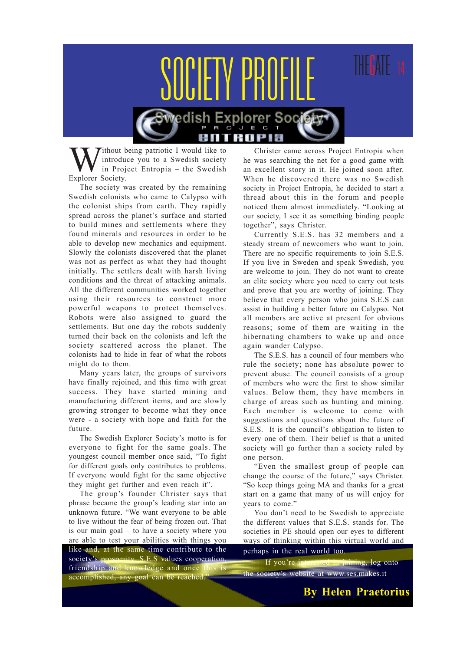

Tithout being patriotic I would like to introduce you to a Swedish society in Project Entropia – the Swedish Explorer Society.

The society was created by the remaining Swedish colonists who came to Calypso with the colonist ships from earth. They rapidly spread across the planet's surface and started to build mines and settlements where they found minerals and resources in order to be able to develop new mechanics and equipment. Slowly the colonists discovered that the planet was not as perfect as what they had thought initially. The settlers dealt with harsh living conditions and the threat of attacking animals. All the different communities worked together using their resources to construct more powerful weapons to protect themselves. Robots were also assigned to guard the settlements. But one day the robots suddenly turned their back on the colonists and left the society scattered across the planet. The colonists had to hide in fear of what the robots might do to them.

Many years later, the groups of survivors have finally rejoined, and this time with great success. They have started mining and manufacturing different items, and are slowly growing stronger to become what they once were - a society with hope and faith for the future.

The Swedish Explorer Society's motto is for everyone to fight for the same goals. The youngest council member once said, "To fight for different goals only contributes to problems. If everyone would fight for the same objective they might get further and even reach it".

The group's founder Christer says that phrase became the group's leading star into an unknown future. "We want everyone to be able to live without the fear of being frozen out. That is our main goal  $-$  to have a society where you are able to test your abilities with things you like and, at the same time contribute to the society's prosperity. S.E.S values cooperation friendship and knowledge and once this is accomplished, any goal can be reached.

Christer came across Project Entropia when he was searching the net for a good game with an excellent story in it. He joined soon after. When he discovered there was no Swedish society in Project Entropia, he decided to start a thread about this in the forum and people noticed them almost immediately. "Looking at our society, I see it as something binding people together", says Christer.

Currently S.E.S. has 32 members and a steady stream of newcomers who want to join. There are no specific requirements to join S.E.S. If you live in Sweden and speak Swedish, you are welcome to join. They do not want to create an elite society where you need to carry out tests and prove that you are worthy of joining. They believe that every person who joins S.E.S can assist in building a better future on Calypso. Not all members are active at present for obvious reasons; some of them are waiting in the hibernating chambers to wake up and once again wander Calypso.

The S.E.S. has a council of four members who rule the society; none has absolute power to prevent abuse. The council consists of a group of members who were the first to show similar values. Below them, they have members in charge of areas such as hunting and mining. Each member is welcome to come with suggestions and questions about the future of S.E.S. It is the council's obligation to listen to every one of them. Their belief is that a united society will go further than a society ruled by one person.

ìEven the smallest group of people can change the course of the future," says Christer. ìSo keep things going MA and thanks for a great start on a game that many of us will enjoy for vears to come."

You don't need to be Swedish to appreciate the different values that S.E.S. stands for. The societies in PE should open our eyes to different ways of thinking within this virtual world and perhaps in the real world too.

If you're interested in joining, log onto the society's website at www.ses.makes.it

**By Helen Praetorius**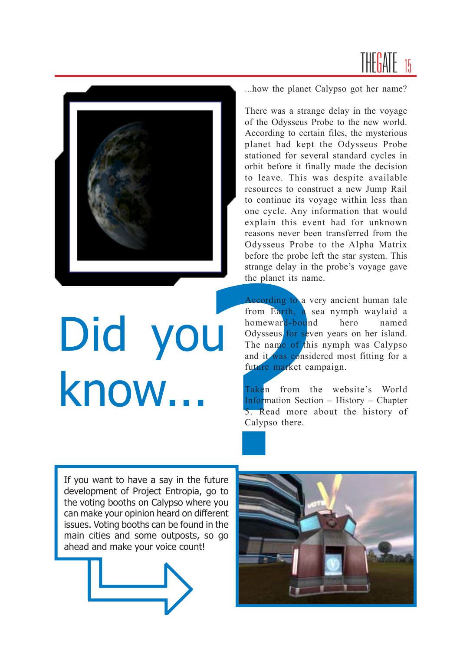



# Did you know...

...how the planet Calypso got her name?

There was a strange delay in the voyage of the Odysseus Probe to the new world. According to certain files, the mysterious planet had kept the Odysseus Probe stationed for several standard cycles in orbit before it finally made the decision to leave. This was despite available resources to construct a new Jump Rail to continue its voyage within less than one cycle. Any information that would explain this event had for unknown reasons never been transferred from the Odysseus Probe to the Alpha Matrix before the probe left the star system. This strange delay in the probe's voyage gave the planet its name.

strange delay in the planet its nare<br>
the planet its nare<br>
According to a v<br>
from Earth, a s<br>
homeward-bound<br>
Odysseus for sev<br>
The name of thi<br>
and it was consider<br>
future market ca<br>
Taken from the Information Secti<br>
5. R According to a very ancient human tale from Earth, a sea nymph waylaid a homeward-bound hero named Odysseus for seven years on her island. The name of this nymph was Calypso and it was considered most fitting for a future market campaign.

Taken from the website's World Information Section  $-$  History  $-$  Chapter 5. Read more about the history of Calypso there.

If you want to have a say in the future development of Project Entropia, go to the voting booths on Calypso where you can make your opinion heard on different issues. Voting booths can be found in the main cities and some outposts, so go ahead and make your voice count!



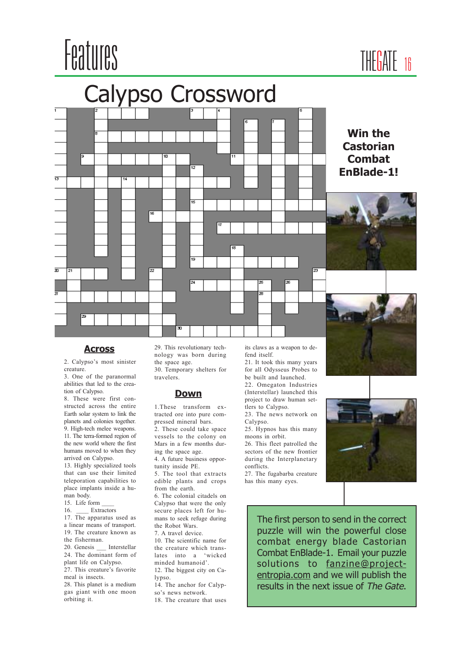





2. Calypso's most sinister creature.

3. One of the paranormal abilities that led to the creation of Calypso.

8. These were first constructed across the entire Earth solar system to link the planets and colonies together. 9. High-tech melee weapons. 11. The terra-formed region of the new world where the first humans moved to when they arrived on Calypso.

13. Highly specialized tools that can use their limited teleporation capabilities to place implants inside a human body.

15. Life form \_\_\_\_

16. \_\_\_\_ Extractors

17. The apparatus used as a linear means of transport. 19. The creature known as

the fisherman.

20. Genesis \_\_\_ Interstellar

24. The dominant form of plant life on Calypso. 27. This creature's favorite

meal is insects. 28. This planet is a medium

gas giant with one moon orbiting it.

**Across** 29. This revolutionary tech-<br>its claws as a weapon to denology was born during the space age. 30. Temporary shelters for

travelers.

#### **Down**

1.These transform extracted ore into pure compressed mineral bars.

2. These could take space vessels to the colony on Mars in a few months during the space age.

4. A future business opportunity inside PE.

5. The tool that extracts edible plants and crops from the earth.

6. The colonial citadels on Calypso that were the only secure places left for humans to seek refuge during the Robot Wars.

7. A travel device.

10. The scientific name for the creature which translates into a 'wicked minded humanoid'.

12. The biggest city on Calypso.

14. The anchor for Calypso's news network.

18. The creature that uses

fend itself.

21. It took this many years for all Odysseus Probes to be built and launched.

22. Omegaton Industries (Interstellar) launched this project to draw human settlers to Calypso.

23. The news network on Calypso.

25. Hypnos has this many moons in orbit.

26. This fleet patrolled the sectors of the new frontier during the Interplanetary conflicts.

27. The fugabarba creature has this many eyes.



The first person to send in the correct puzzle will win the powerful close combat energy blade Castorian Combat EnBlade-1. Email your puzzle solutions to fanzine@projectentropia.com and we will publish the results in the next issue of The Gate.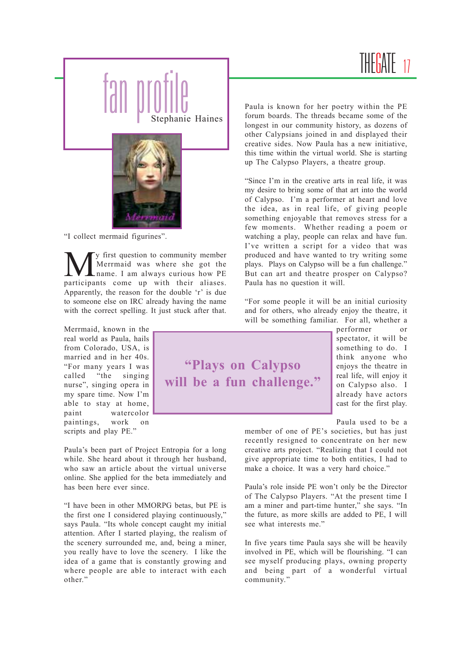### THE<mark>GATE</mark>



"I collect mermaid figurines".

y first question to community member Merrmaid was where she got the name. I am always curious how PE participants come up with their aliases. Apparently, the reason for the double  $r$  is due to someone else on IRC already having the name with the correct spelling. It just stuck after that.

Merrmaid, known in the real world as Paula, hails from Colorado, USA, is married and in her 40s. ìFor many years I was called "the singing" nurse", singing opera in my spare time. Now I'm able to stay at home, paint watercolor paintings, work on scripts and play PE."

Paula's been part of Project Entropia for a long while. She heard about it through her husband, who saw an article about the virtual universe online. She applied for the beta immediately and has been here ever since.

"I have been in other MMORPG betas, but PE is the first one I considered playing continuously," says Paula. "Its whole concept caught my initial attention. After I started playing, the realism of the scenery surrounded me, and, being a miner, you really have to love the scenery. I like the idea of a game that is constantly growing and where people are able to interact with each other."

Paula is known for her poetry within the PE forum boards. The threads became some of the longest in our community history, as dozens of other Calypsians joined in and displayed their creative sides. Now Paula has a new initiative, this time within the virtual world. She is starting up The Calypso Players, a theatre group.

"Since I'm in the creative arts in real life, it was my desire to bring some of that art into the world of Calypso. Iím a performer at heart and love the idea, as in real life, of giving people something enjoyable that removes stress for a few moments. Whether reading a poem or watching a play, people can relax and have fun. I've written a script for a video that was produced and have wanted to try writing some plays. Plays on Calypso will be a fun challenge." But can art and theatre prosper on Calypso? Paula has no question it will.

ìFor some people it will be an initial curiosity and for others, who already enjoy the theatre, it will be something familiar. For all, whether a



performer or spectator, it will be something to do. I think anyone who enjoys the theatre in real life, will enjoy it on Calypso also. I already have actors cast for the first play.

Paula used to be a

member of one of PE's societies, but has just recently resigned to concentrate on her new creative arts project. "Realizing that I could not give appropriate time to both entities, I had to make a choice. It was a very hard choice."

Paula's role inside PE won't only be the Director of The Calypso Players. "At the present time I am a miner and part-time hunter," she says. "In the future, as more skills are added to PE, I will see what interests me."

In five years time Paula says she will be heavily involved in PE, which will be flourishing. "I can see myself producing plays, owning property and being part of a wonderful virtual community.'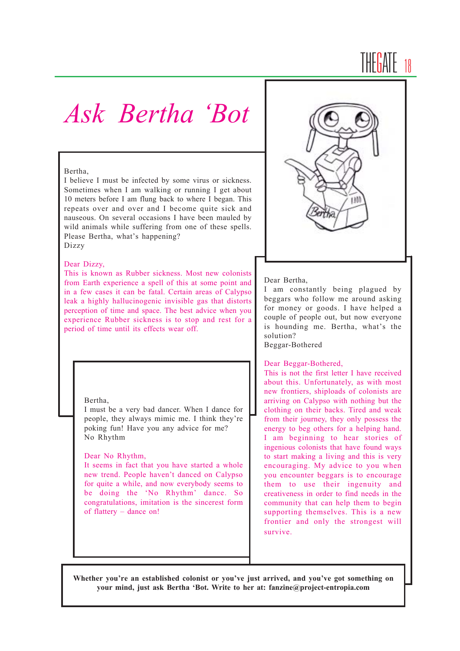## THE<mark>GATE</mark> 18

### *Ask Bertha ëBot*

#### Bertha,

I believe I must be infected by some virus or sickness. Sometimes when I am walking or running I get about 10 meters before I am flung back to where I began. This repeats over and over and I become quite sick and nauseous. On several occasions I have been mauled by wild animals while suffering from one of these spells. Please Bertha, what's happening? Dizzy

#### Dear Dizzy,

This is known as Rubber sickness. Most new colonists from Earth experience a spell of this at some point and in a few cases it can be fatal. Certain areas of Calypso leak a highly hallucinogenic invisible gas that distorts perception of time and space. The best advice when you experience Rubber sickness is to stop and rest for a period of time until its effects wear off.

#### Bertha,

I must be a very bad dancer. When I dance for people, they always mimic me. I think they're poking fun! Have you any advice for me? No Rhythm

#### Dear No Rhythm,

It seems in fact that you have started a whole new trend. People haven't danced on Calypso for quite a while, and now everybody seems to be doing the 'No Rhythm' dance. So congratulations, imitation is the sincerest form of flattery  $-$  dance on!



#### Dear Bertha,

I am constantly being plagued by beggars who follow me around asking for money or goods. I have helped a couple of people out, but now everyone is hounding me. Bertha, what's the solution?

Beggar-Bothered

#### Dear Beggar-Bothered,

This is not the first letter I have received about this. Unfortunately, as with most new frontiers, shiploads of colonists are arriving on Calypso with nothing but the clothing on their backs. Tired and weak from their journey, they only possess the energy to beg others for a helping hand. I am beginning to hear stories of ingenious colonists that have found ways to start making a living and this is very encouraging. My advice to you when you encounter beggars is to encourage them to use their ingenuity and creativeness in order to find needs in the community that can help them to begin supporting themselves. This is a new frontier and only the strongest will survive.

Whether you're an established colonist or you've just arrived, and you've got something on **your mind, just ask Bertha ëBot. Write to her at: fanzine@project-entropia.com**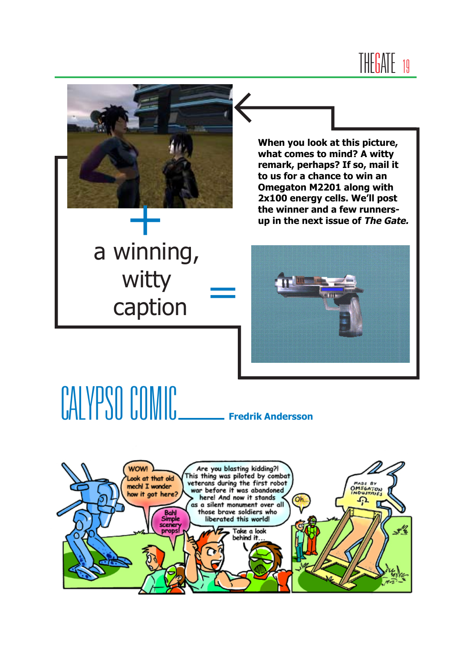



a winning, witty caption **=**

**When you look at this picture, what comes to mind? A witty remark, perhaps? If so, mail it to us for a chance to win an Omegaton M2201 along with 2x100 energy cells. Weíll post the winner and a few runners-**<br> **the winner and a few runners-**<br> **the next issue of** *The Gate.***<br>
<b>A up** in the next issue of *The Gate.* 



# CALYPSO COMIC **Fredrik Andersson**

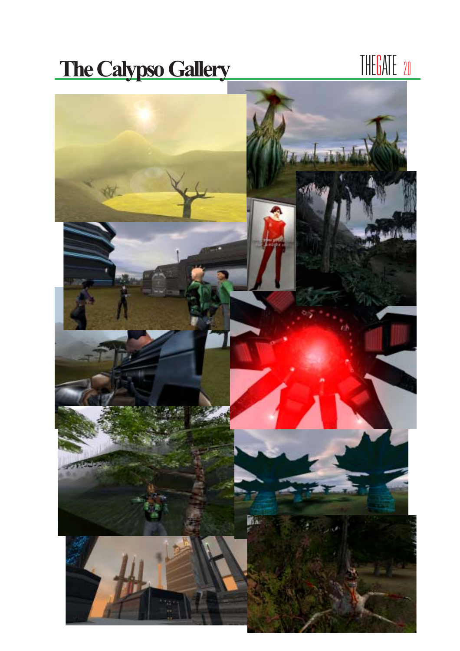# **The Calypso Gallery** THEGATE 20